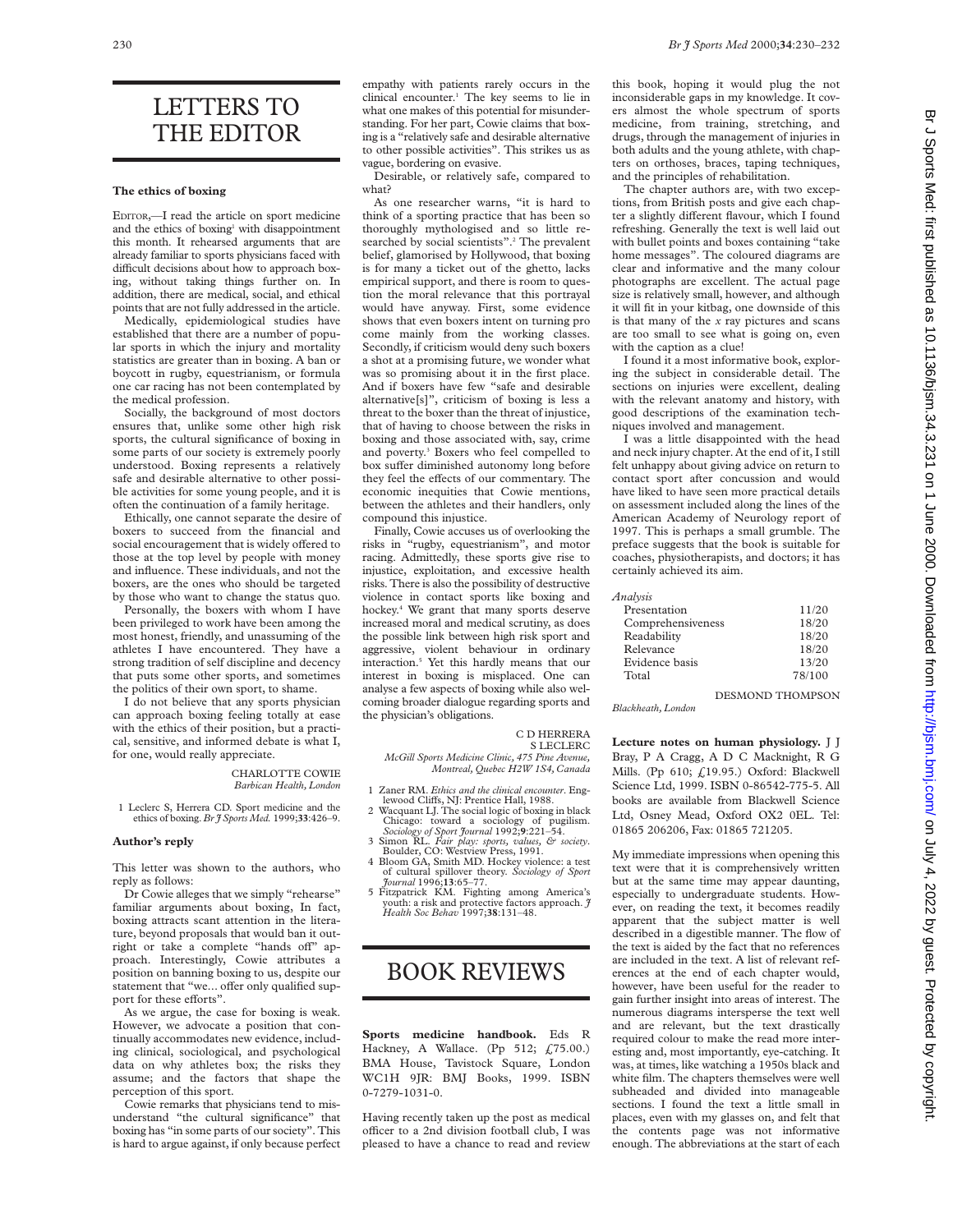# LETTERS TO THE EDITOR

## **The ethics of boxing**

EDITOR,—I read the article on sport medicine and the ethics of boxing<sup>1</sup> with disappointment this month. It rehearsed arguments that are already familiar to sports physicians faced with difficult decisions about how to approach boxing, without taking things further on. In addition, there are medical, social, and ethical points that are not fully addressed in the article.

Medically, epidemiological studies have established that there are a number of popular sports in which the injury and mortality statistics are greater than in boxing. A ban or boycott in rugby, equestrianism, or formula one car racing has not been contemplated by the medical profession.

Socially, the background of most doctors ensures that, unlike some other high risk sports, the cultural significance of boxing in some parts of our society is extremely poorly understood. Boxing represents a relatively safe and desirable alternative to other possible activities for some young people, and it is often the continuation of a family heritage.

Ethically, one cannot separate the desire of boxers to succeed from the financial and social encouragement that is widely offered to those at the top level by people with money and influence. These individuals, and not the boxers, are the ones who should be targeted by those who want to change the status quo.

Personally, the boxers with whom I have been privileged to work have been among the most honest, friendly, and unassuming of the athletes I have encountered. They have a strong tradition of self discipline and decency that puts some other sports, and sometimes the politics of their own sport, to shame.

I do not believe that any sports physician can approach boxing feeling totally at ease with the ethics of their position, but a practical, sensitive, and informed debate is what I, for one, would really appreciate.

> CHARLOTTE COWIE *Barbican Health, London*

1 Leclerc S, Herrera CD. Sport medicine and the ethics of boxing.*Br J Sports Med.* 1999;**33**:426–9.

#### **Author's reply**

This letter was shown to the authors, who reply as follows:

Dr Cowie alleges that we simply "rehearse" familiar arguments about boxing, In fact, boxing attracts scant attention in the literature, beyond proposals that would ban it outright or take a complete "hands off" approach. Interestingly, Cowie attributes a position on banning boxing to us, despite our statement that "we... offer only qualified support for these efforts".

As we argue, the case for boxing is weak. However, we advocate a position that continually accommodates new evidence, including clinical, sociological, and psychological data on why athletes box; the risks they assume; and the factors that shape the perception of this sport.

Cowie remarks that physicians tend to misunderstand "the cultural significance" that boxing has "in some parts of our society". This is hard to argue against, if only because perfect empathy with patients rarely occurs in the clinical encounter.<sup>1</sup> The key seems to lie in what one makes of this potential for misunderstanding. For her part, Cowie claims that boxing is a "relatively safe and desirable alternative to other possible activities". This strikes us as vague, bordering on evasive.

Desirable, or relatively safe, compared to what?

As one researcher warns, "it is hard to think of a sporting practice that has been so thoroughly mythologised and so little researched by social scientists".<sup>2</sup> The prevalent belief, glamorised by Hollywood, that boxing is for many a ticket out of the ghetto, lacks empirical support, and there is room to question the moral relevance that this portrayal would have anyway. First, some evidence shows that even boxers intent on turning pro come mainly from the working classes. Secondly, if criticism would deny such boxers a shot at a promising future, we wonder what was so promising about it in the first place. And if boxers have few "safe and desirable alternative[s]", criticism of boxing is less a threat to the boxer than the threat of injustice, that of having to choose between the risks in boxing and those associated with, say, crime and poverty.<sup>3</sup> Boxers who feel compelled to box suffer diminished autonomy long before they feel the effects of our commentary. The economic inequities that Cowie mentions, between the athletes and their handlers, only compound this injustice.

Finally, Cowie accuses us of overlooking the risks in "rugby, equestrianism", and motor racing. Admittedly, these sports give rise to injustice, exploitation, and excessive health risks. There is also the possibility of destructive violence in contact sports like boxing and hockey.4 We grant that many sports deserve increased moral and medical scrutiny, as does the possible link between high risk sport and aggressive, violent behaviour in ordinary interaction.5 Yet this hardly means that our interest in boxing is misplaced. One can analyse a few aspects of boxing while also welcoming broader dialogue regarding sports and the physician's obligations.

> C D HERRERA S LECLERC

*McGill Sports Medicine Clinic, 475 Pine Avenue, Montreal, Quebec H2W 1S4, Canada*

- 1 Zaner RM. *Ethics and the clinical encounter*. Englewood Cliffs, NJ: Prentice Hall, 1988.
- 2 Wacquant LJ. The social logic of boxing in black Chicago: toward a sociology of pugilism. *Sociology of Sport Journal* 1992;**9**:221–54. 3 Simon RL. *Fair play: sports, values, & society*.
- Boulder, CO: Westview Press, 1991.
- 4 Bloom GA, Smith MD. Hockey violence: a test of cultural spillover theory. *Sociology of Sport Journal* 1996;**13**:65–77.
- 5 Fitzpatrick KM. Fighting among America's youth: a risk and protective factors approach. *J Health Soc Behav* 1997;**38**:131–48.

# BOOK REVIEWS

**Sports medicine handbook.** Eds R Hackney, A Wallace. (Pp 512; £75.00.) BMA House, Tavistock Square, London WC1H 9JR: BMJ Books, 1999. ISBN 0-7279-1031-0.

Having recently taken up the post as medical officer to a 2nd division football club, I was pleased to have a chance to read and review

this book, hoping it would plug the not inconsiderable gaps in my knowledge. It covers almost the whole spectrum of sports medicine, from training, stretching, and drugs, through the management of injuries in both adults and the young athlete, with chapters on orthoses, braces, taping techniques, and the principles of rehabilitation.

The chapter authors are, with two exceptions, from British posts and give each chapter a slightly different flavour, which I found refreshing. Generally the text is well laid out with bullet points and boxes containing "take home messages". The coloured diagrams are clear and informative and the many colour photographs are excellent. The actual page size is relatively small, however, and although it will fit in your kitbag, one downside of this is that many of the *x* ray pictures and scans are too small to see what is going on, even with the caption as a clue!

I found it a most informative book, exploring the subject in considerable detail. The sections on injuries were excellent, dealing with the relevant anatomy and history, with good descriptions of the examination techniques involved and management.

I was a little disappointed with the head and neck injury chapter. At the end of it, I still felt unhappy about giving advice on return to contact sport after concussion and would have liked to have seen more practical details on assessment included along the lines of the American Academy of Neurology report of 1997. This is perhaps a small grumble. The preface suggests that the book is suitable for coaches, physiotherapists, and doctors; it has certainly achieved its aim.

| × |  |
|---|--|
|   |  |

| Presentation      | 11/20  |
|-------------------|--------|
| Comprehensiveness | 18/20  |
| Readability       | 18/20  |
| Relevance         | 18/20  |
| Evidence basis    | 13/20  |
| Total             | 78/100 |
|                   |        |

DESMOND THOMPSON *Blackheath, London*

**Lecture notes on human physiology.** J J Bray, P A Cragg, A D C Macknight, R G Mills. (Pp 610; £19.95.) Oxford: Blackwell Science Ltd, 1999. ISBN 0-86542-775-5. All books are available from Blackwell Science Ltd, Osney Mead, Oxford OX2 0EL. Tel: 01865 206206, Fax: 01865 721205.

My immediate impressions when opening this text were that it is comprehensively written but at the same time may appear daunting, especially to undergraduate students. However, on reading the text, it becomes readily apparent that the subject matter is well described in a digestible manner. The flow of the text is aided by the fact that no references are included in the text. A list of relevant references at the end of each chapter would, however, have been useful for the reader to gain further insight into areas of interest. The numerous diagrams intersperse the text well and are relevant, but the text drastically required colour to make the read more interesting and, most importantly, eye-catching. It was, at times, like watching a 1950s black and white film. The chapters themselves were well subheaded and divided into manageable sections. I found the text a little small in places, even with my glasses on, and felt that the contents page was not informative enough. The abbreviations at the start of each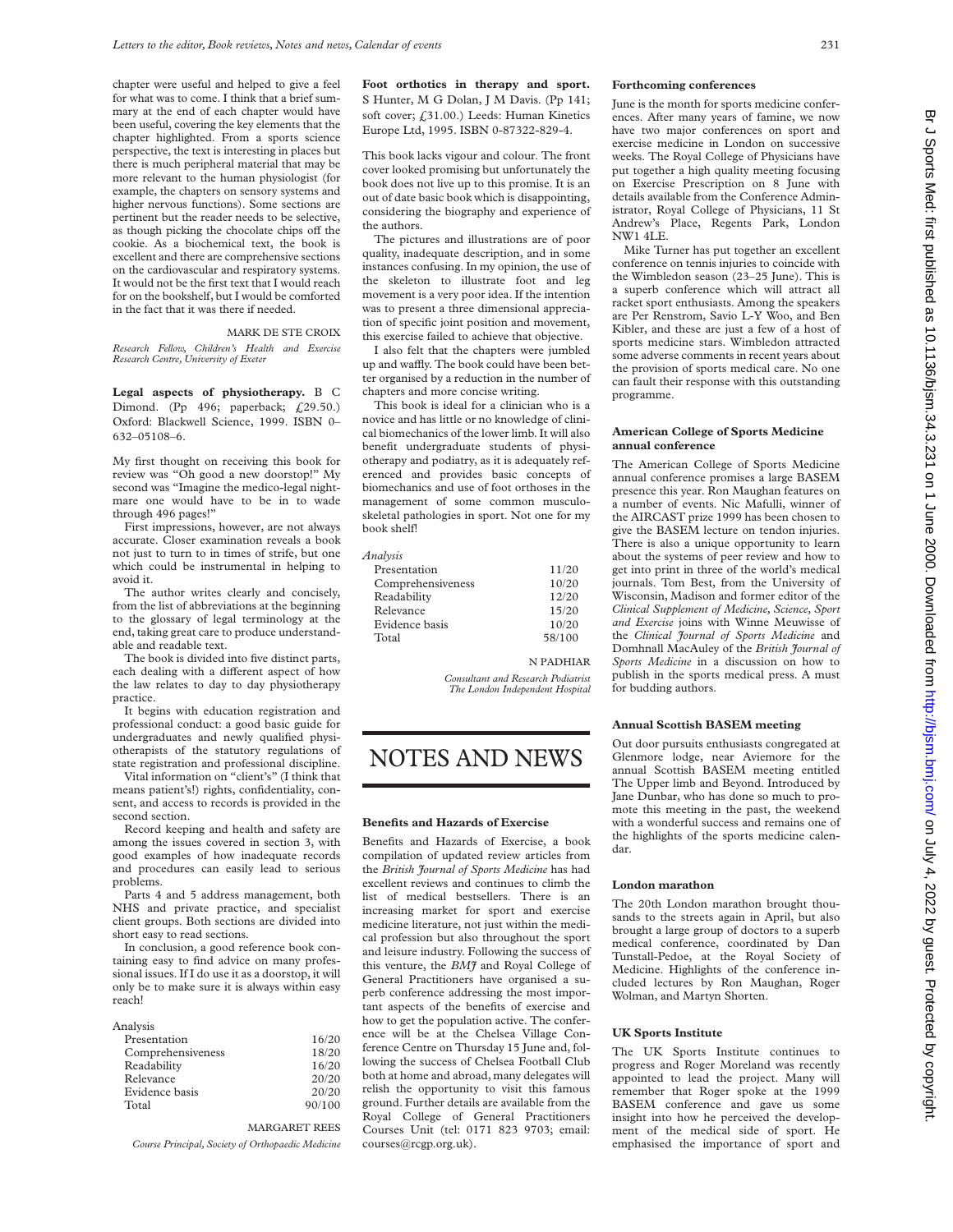chapter were useful and helped to give a feel for what was to come. I think that a brief summary at the end of each chapter would have been useful, covering the key elements that the chapter highlighted. From a sports science perspective, the text is interesting in places but there is much peripheral material that may be more relevant to the human physiologist (for example, the chapters on sensory systems and higher nervous functions). Some sections are pertinent but the reader needs to be selective, as though picking the chocolate chips off the cookie. As a biochemical text, the book is excellent and there are comprehensive sections on the cardiovascular and respiratory systems. It would not be the first text that I would reach for on the bookshelf, but I would be comforted in the fact that it was there if needed.

## MARK DE STE CROIX

*Research Fellow, Children's Health and Exercise Research Centre, University of Exeter*

**Legal aspects of physiotherapy.** B C Dimond. (Pp 496; paperback; £29.50.) Oxford: Blackwell Science, 1999. ISBN 0– 632–05108–6.

My first thought on receiving this book for review was "Oh good a new doorstop!" My second was "Imagine the medico-legal nightmare one would have to be in to wade through 496 pages!"

First impressions, however, are not always accurate. Closer examination reveals a book not just to turn to in times of strife, but one which could be instrumental in helping to avoid it.

The author writes clearly and concisely, from the list of abbreviations at the beginning to the glossary of legal terminology at the end, taking great care to produce understandable and readable text.

The book is divided into five distinct parts, each dealing with a different aspect of how the law relates to day to day physiotherapy practice.

It begins with education registration and professional conduct: a good basic guide for undergraduates and newly qualified physiotherapists of the statutory regulations of state registration and professional discipline.

Vital information on "client's" (I think that means patient's!) rights, confidentiality, consent, and access to records is provided in the second section.

Record keeping and health and safety are among the issues covered in section 3, with good examples of how inadequate records and procedures can easily lead to serious problems.

Parts 4 and 5 address management, both NHS and private practice, and specialist client groups. Both sections are divided into short easy to read sections.

In conclusion, a good reference book containing easy to find advice on many professional issues. If I do use it as a doorstop, it will only be to make sure it is always within easy reach!

| Analysis          |        |
|-------------------|--------|
| Presentation      | 16/20  |
| Comprehensiveness | 18/20  |
| Readability       | 16/20  |
| Relevance         | 20/20  |
| Evidence basis    | 20/20  |
| Total             | 90/100 |
|                   |        |

#### MARGARET REES

*Course Principal, Society of Orthopaedic Medicine*

**Foot orthotics in therapy and sport.** S Hunter, M G Dolan, J M Davis. (Pp 141; soft cover; £31.00.) Leeds: Human Kinetics Europe Ltd, 1995. ISBN 0-87322-829-4.

This book lacks vigour and colour. The front cover looked promising but unfortunately the book does not live up to this promise. It is an out of date basic book which is disappointing, considering the biography and experience of the authors.

The pictures and illustrations are of poor quality, inadequate description, and in some instances confusing. In my opinion, the use of the skeleton to illustrate foot and leg movement is a very poor idea. If the intention was to present a three dimensional appreciation of specific joint position and movement, this exercise failed to achieve that objective.

I also felt that the chapters were jumbled up and waffly. The book could have been better organised by a reduction in the number of chapters and more concise writing.

This book is ideal for a clinician who is a novice and has little or no knowledge of clinical biomechanics of the lower limb. It will also benefit undergraduate students of physiotherapy and podiatry, as it is adequately referenced and provides basic concepts of biomechanics and use of foot orthoses in the management of some common musculoskeletal pathologies in sport. Not one for my book shelf!

## *Analysis*

| nui vsis          |        |
|-------------------|--------|
| Presentation      | 11/20  |
| Comprehensiveness | 10/20  |
| Readability       | 12/20  |
| Relevance         | 15/20  |
| Evidence basis    | 10/20  |
| Total             | 58/100 |

N PADHIAR

*Consultant and Research Podiatrist The London Independent Hospital*

# NOTES AND NEWS

## **Benefits and Hazards of Exercise**

Benefits and Hazards of Exercise, a book compilation of updated review articles from the *British Journal of Sports Medicine* has had excellent reviews and continues to climb the list of medical bestsellers. There is an increasing market for sport and exercise medicine literature, not just within the medical profession but also throughout the sport and leisure industry. Following the success of this venture, the *BMJ* and Royal College of General Practitioners have organised a superb conference addressing the most important aspects of the benefits of exercise and how to get the population active. The conference will be at the Chelsea Village Conference Centre on Thursday 15 June and, following the success of Chelsea Football Club both at home and abroad, many delegates will relish the opportunity to visit this famous ground. Further details are available from the Royal College of General Practitioners Courses Unit (tel: 0171 823 9703; email: courses@rcgp.org.uk).

### **Forthcoming conferences**

June is the month for sports medicine conferences. After many years of famine, we now have two major conferences on sport and exercise medicine in London on successive weeks. The Royal College of Physicians have put together a high quality meeting focusing on Exercise Prescription on 8 June with details available from the Conference Administrator, Royal College of Physicians, 11 St Andrew's Place, Regents Park, London NW1 4LE.

Mike Turner has put together an excellent conference on tennis injuries to coincide with the Wimbledon season (23–25 June). This is a superb conference which will attract all racket sport enthusiasts. Among the speakers are Per Renstrom, Savio L-Y Woo, and Ben Kibler, and these are just a few of a host of sports medicine stars. Wimbledon attracted some adverse comments in recent years about the provision of sports medical care. No one can fault their response with this outstanding programme.

## **American College of Sports Medicine annual conference**

The American College of Sports Medicine annual conference promises a large BASEM presence this year. Ron Maughan features on a number of events. Nic Mafulli, winner of the AIRCAST prize 1999 has been chosen to give the BASEM lecture on tendon injuries. There is also a unique opportunity to learn about the systems of peer review and how to get into print in three of the world's medical journals. Tom Best, from the University of Wisconsin, Madison and former editor of the *Clinical Supplement of Medicine, Science, Sport and Exercise* joins with Winne Meuwisse of the *Clinical Journal of Sports Medicine* and Domhnall MacAuley of the *British Journal of Sports Medicine* in a discussion on how to publish in the sports medical press. A must for budding authors.

## **Annual Scottish BASEM meeting**

Out door pursuits enthusiasts congregated at Glenmore lodge, near Aviemore for the annual Scottish BASEM meeting entitled The Upper limb and Beyond. Introduced by Jane Dunbar, who has done so much to promote this meeting in the past, the weekend with a wonderful success and remains one of the highlights of the sports medicine calendar.

#### **London marathon**

The 20th London marathon brought thousands to the streets again in April, but also brought a large group of doctors to a superb medical conference, coordinated by Dan Tunstall-Pedoe, at the Royal Society of Medicine. Highlights of the conference included lectures by Ron Maughan, Roger Wolman, and Martyn Shorten.

## **UK Sports Institute**

The UK Sports Institute continues to progress and Roger Moreland was recently appointed to lead the project. Many will remember that Roger spoke at the 1999 BASEM conference and gave us some insight into how he perceived the development of the medical side of sport. He emphasised the importance of sport and